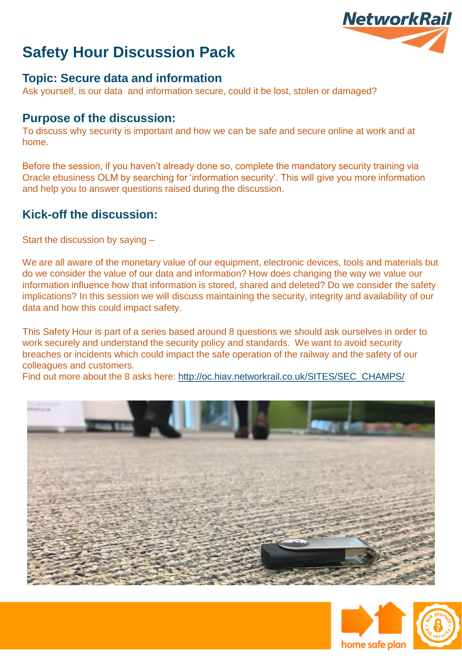

#### **Topic: Secure data and information**

Ask yourself, is our data and information secure, could it be lost, stolen or damaged?

#### **Purpose of the discussion:**

To discuss why security is important and how we can be safe and secure online at work and at home.

Before the session, if you haven't already done so, complete the mandatory security training via Oracle ebusiness OLM by searching for 'information security'. This will give you more information and help you to answer questions raised during the discussion.

#### **Kick-off the discussion:**

Start the discussion by saying –

We are all aware of the monetary value of our equipment, electronic devices, tools and materials but do we consider the value of our data and information? How does changing the way we value our information influence how that information is stored, shared and deleted? Do we consider the safety implications? In this session we will discuss maintaining the security, integrity and availability of our data and how this could impact safety.

This Safety Hour is part of a series based around 8 questions we should ask ourselves in order to work securely and understand the security policy and standards. We want to avoid security breaches or incidents which could impact the safe operation of the railway and the safety of our colleagues and customers.

Find out more about the 8 asks here: [http://oc.hiav.networkrail.co.uk/SITES/SEC\\_CHAMPS/](http://oc.hiav.networkrail.co.uk/SITES/SEC_CHAMPS/)





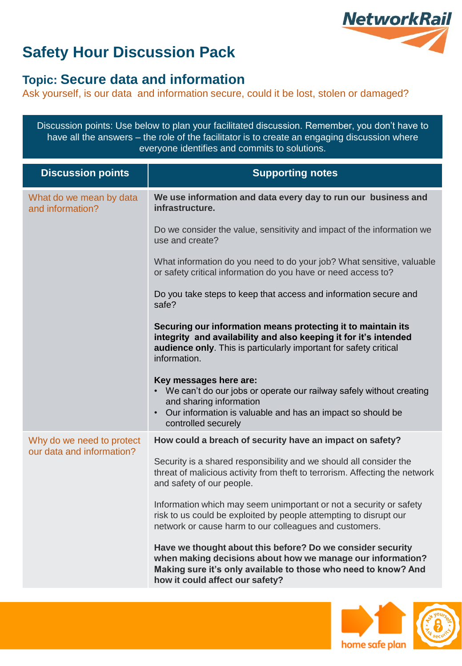

### **Topic: Secure data and information**

Ask yourself, is our data and information secure, could it be lost, stolen or damaged?

Discussion points: Use below to plan your facilitated discussion. Remember, you don't have to have all the answers – the role of the facilitator is to create an engaging discussion where everyone identifies and commits to solutions.

| <b>Discussion points</b>                               | <b>Supporting notes</b>                                                                                                                                                                                                       |
|--------------------------------------------------------|-------------------------------------------------------------------------------------------------------------------------------------------------------------------------------------------------------------------------------|
| What do we mean by data<br>and information?            | We use information and data every day to run our business and<br>infrastructure.                                                                                                                                              |
|                                                        | Do we consider the value, sensitivity and impact of the information we<br>use and create?                                                                                                                                     |
|                                                        | What information do you need to do your job? What sensitive, valuable<br>or safety critical information do you have or need access to?                                                                                        |
|                                                        | Do you take steps to keep that access and information secure and<br>safe?                                                                                                                                                     |
|                                                        | Securing our information means protecting it to maintain its<br>integrity and availability and also keeping it for it's intended<br>audience only. This is particularly important for safety critical<br>information.         |
|                                                        | Key messages here are:<br>• We can't do our jobs or operate our railway safely without creating<br>and sharing information<br>• Our information is valuable and has an impact so should be<br>controlled securely             |
| Why do we need to protect<br>our data and information? | How could a breach of security have an impact on safety?                                                                                                                                                                      |
|                                                        | Security is a shared responsibility and we should all consider the<br>threat of malicious activity from theft to terrorism. Affecting the network<br>and safety of our people.                                                |
|                                                        | Information which may seem unimportant or not a security or safety<br>risk to us could be exploited by people attempting to disrupt our<br>network or cause harm to our colleagues and customers.                             |
|                                                        | Have we thought about this before? Do we consider security<br>when making decisions about how we manage our information?<br>Making sure it's only available to those who need to know? And<br>how it could affect our safety? |



/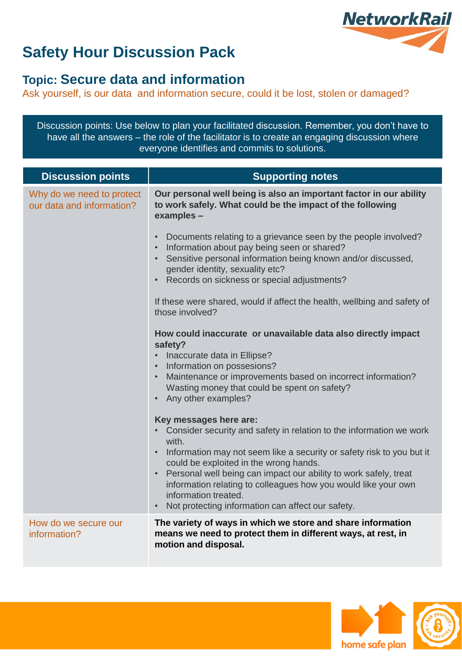

### **Topic: Secure data and information**

Ask yourself, is our data and information secure, could it be lost, stolen or damaged?

Discussion points: Use below to plan your facilitated discussion. Remember, you don't have to have all the answers – the role of the facilitator is to create an engaging discussion where everyone identifies and commits to solutions.

| <b>Discussion points</b>                               | <b>Supporting notes</b>                                                                                                                                                                                                                                                                                                                                                                                                                     |
|--------------------------------------------------------|---------------------------------------------------------------------------------------------------------------------------------------------------------------------------------------------------------------------------------------------------------------------------------------------------------------------------------------------------------------------------------------------------------------------------------------------|
| Why do we need to protect<br>our data and information? | Our personal well being is also an important factor in our ability<br>to work safely. What could be the impact of the following<br>examples -                                                                                                                                                                                                                                                                                               |
|                                                        | Documents relating to a grievance seen by the people involved?<br>Information about pay being seen or shared?<br>Sensitive personal information being known and/or discussed,<br>gender identity, sexuality etc?<br>Records on sickness or special adjustments?                                                                                                                                                                             |
|                                                        | If these were shared, would if affect the health, wellbing and safety of<br>those involved?                                                                                                                                                                                                                                                                                                                                                 |
|                                                        | How could inaccurate or unavailable data also directly impact<br>safety?<br>• Inaccurate data in Ellipse?<br>• Information on possesions?<br>Maintenance or improvements based on incorrect information?<br>Wasting money that could be spent on safety?<br>Any other examples?                                                                                                                                                             |
|                                                        | Key messages here are:<br>Consider security and safety in relation to the information we work<br>with<br>Information may not seem like a security or safety risk to you but it<br>could be exploited in the wrong hands.<br>Personal well being can impact our ability to work safely, treat<br>information relating to colleagues how you would like your own<br>information treated.<br>Not protecting information can affect our safety. |
| How do we secure our<br>information?                   | The variety of ways in which we store and share information<br>means we need to protect them in different ways, at rest, in<br>motion and disposal.                                                                                                                                                                                                                                                                                         |